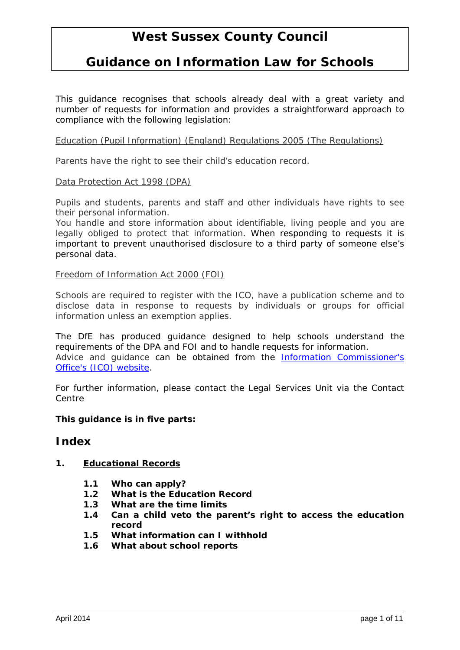### **Guidance on Information Law for Schools**

This guidance recognises that schools already deal with a great variety and number of requests for information and provides a straightforward approach to compliance with the following legislation:

#### Education (Pupil Information) (England) Regulations 2005 (The Regulations)

Parents have the right to see their child's education record.

#### Data Protection Act 1998 (DPA)

Pupils and students, parents and staff and other individuals have rights to see their personal information.

You handle and store information about identifiable, living people and you are legally obliged to protect that information. When responding to requests it is important to prevent unauthorised disclosure to a third party of someone else's personal data.

Freedom of Information Act 2000 (FOI)

Schools are required to register with the ICO, have a publication scheme and to disclose data in response to requests by individuals or groups for official information unless an exemption applies.

The DfE has produced guidance designed to help schools understand the requirements of the DPA and FOI and to handle requests for information. Advice and guidance can be obtained from the Information Commissioner's [Office's \(ICO\) website.](https://www.westsussex.gov.uk/apps/links/refer.do?linkID=18879)

For further information, please contact the Legal Services Unit via the Contact Centre

#### **This guidance is in five parts:**

#### **Index**

#### **1. Educational Records**

- **1.1 Who can apply?**
- **1.2 What is the Education Record**
- **1.3 What are the time limits**
- **1.4 Can a child veto the parent's right to access the education record**
- **1.5 What information can I withhold**
- **1.6 What about school reports**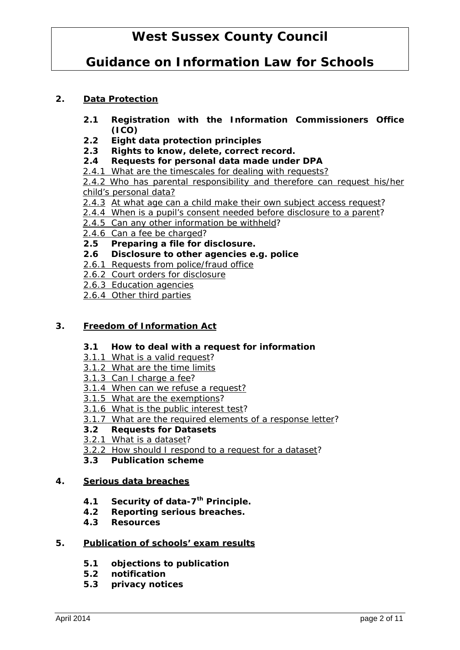## **Guidance on Information Law for Schools**

#### **2. Data Protection**

- **2.1 Registration with the Information Commissioners Office (ICO)**
- **2.2 Eight data protection principles**
- **2.3 Rights to know, delete, correct record.**
- **2.4 Requests for personal data made under DPA**
- 2.4.1 What are the timescales for dealing with requests?

2.4.2 Who has parental responsibility and therefore can request his/her child's personal data?

- 2.4.3 At what age can a child make their own subject access request?
- 2.4.4 When is a pupil's consent needed before disclosure to a parent?
- 2.4.5 Can any other information be withheld?
- 2.4.6 Can a fee be charged?
- **2.5 Preparing a file for disclosure.**
- **2.6 Disclosure to other agencies e.g. police**
- 2.6.1 Requests from police/fraud office
- 2.6.2 Court orders for disclosure
- 2.6.3 Education agencies
- 2.6.4 Other third parties

#### **3. Freedom of Information Act**

- **3.1 How to deal with a request for information**
- 3.1.1 What is a valid request?
- 3.1.2 What are the time limits
- 3.1.3 Can I charge a fee?
- 3.1.4 When can we refuse a request?
- 3.1.5 What are the exemptions?
- 3.1.6 What is the public interest test?
- 3.1.7 What are the required elements of a response letter?<br>3.2 Requests for Datasets

#### **3.2 Requests for Datasets**

- 3.2.1 What is a dataset?
- 3.2.2 How should I respond to a request for a dataset?
- **3.3 Publication scheme**

#### **4. Serious data breaches**

- **4.1 Security of data-7th Principle.**
- **4.2 Reporting serious breaches.**
- **4.3 Resources**

#### **5. Publication of schools' exam results**

- **5.1 objections to publication**
- **5.2 notification**
- **5.3 privacy notices**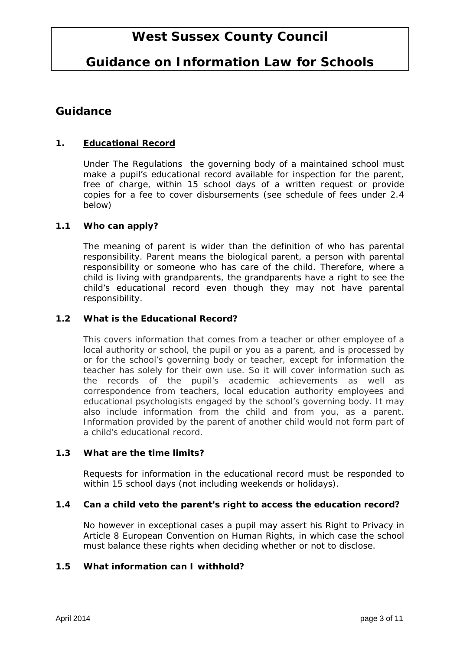## **Guidance on Information Law for Schools**

### **Guidance**

#### **1. Educational Record**

Under The Regulations the governing body of a maintained school must make a pupil's educational record available for inspection for the parent, free of charge, within 15 school days of a written request or provide copies for a fee to cover disbursements (see schedule of fees under 2.4 below)

#### **1.1 Who can apply?**

The meaning of parent is wider than the definition of who has parental responsibility. Parent means the biological parent, a person with parental responsibility or someone who has care of the child. Therefore, where a child is living with grandparents, the grandparents have a right to see the child's educational record even though they may not have parental responsibility.

#### **1.2 What is the Educational Record?**

This covers information that comes from a teacher or other employee of a local authority or school, the pupil or you as a parent, and is processed by or for the school's governing body or teacher, except for information the teacher has solely for their own use. So it will cover information such as the records of the pupil's academic achievements as well as correspondence from teachers, local education authority employees and educational psychologists engaged by the school's governing body. It may also include information from the child and from you, as a parent. Information provided by the parent of another child would not form part of a child's educational record.

#### **1.3 What are the time limits?**

Requests for information in the educational record must be responded to within 15 school days (not including weekends or holidays).

#### **1.4 Can a child veto the parent's right to access the education record?**

No however in exceptional cases a pupil may assert his Right to Privacy in Article 8 European Convention on Human Rights, in which case the school must balance these rights when deciding whether or not to disclose.

#### **1.5 What information can I withhold?**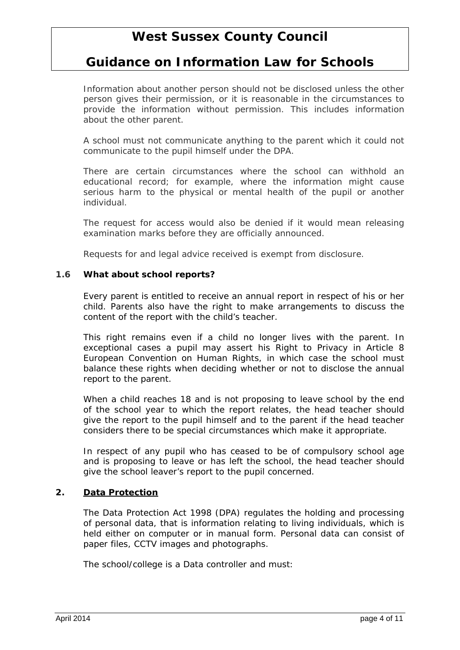### **Guidance on Information Law for Schools**

Information about another person should not be disclosed unless the other person gives their permission, or it is reasonable in the circumstances to provide the information without permission. This includes information about the other parent.

A school must not communicate anything to the parent which it could not communicate to the pupil himself under the DPA.

There are certain circumstances where the school can withhold an educational record; for example, where the information might cause serious harm to the physical or mental health of the pupil or another individual.

The request for access would also be denied if it would mean releasing examination marks before they are officially announced.

Requests for and legal advice received is exempt from disclosure.

#### **1.6 What about school reports?**

Every parent is entitled to receive an annual report in respect of his or her child. Parents also have the right to make arrangements to discuss the content of the report with the child's teacher.

This right remains even if a child no longer lives with the parent. In exceptional cases a pupil may assert his Right to Privacy in Article 8 European Convention on Human Rights, in which case the school must balance these rights when deciding whether or not to disclose the annual report to the parent.

When a child reaches 18 and is not proposing to leave school by the end of the school year to which the report relates, the head teacher should give the report to the pupil himself and to the parent if the head teacher considers there to be special circumstances which make it appropriate.

In respect of any pupil who has ceased to be of compulsory school age and is proposing to leave or has left the school, the head teacher should give the school leaver's report to the pupil concerned.

#### **2. Data Protection**

The Data Protection Act 1998 (DPA) regulates the holding and processing of personal data, that is information relating to living individuals, which is held either on computer or in manual form. Personal data can consist of paper files, CCTV images and photographs.

The school/college is a Data controller and must: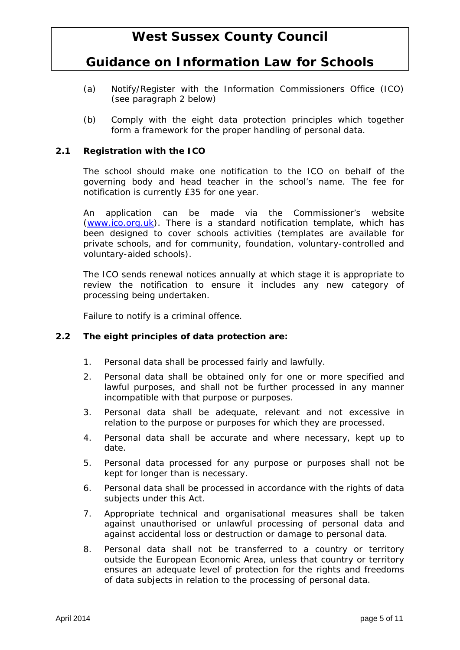### **Guidance on Information Law for Schools**

- (a) Notify/Register with the Information Commissioners Office (ICO) (see paragraph 2 below)
- (b) Comply with the eight data protection principles which together form a framework for the proper handling of personal data.

#### **2.1 Registration with the ICO**

The school should make one notification to the ICO on behalf of the governing body and head teacher in the school's name. The fee for notification is currently £35 for one year.

An application can be made via the Commissioner's website [\(www.ico.org.uk\)](http://www.ico.org.uk/). There is a standard notification template, which has been designed to cover schools activities (templates are available for private schools, and for community, foundation, voluntary-controlled and voluntary-aided schools).

The ICO sends renewal notices annually at which stage it is appropriate to review the notification to ensure it includes any new category of processing being undertaken.

Failure to notify is a criminal offence.

#### **2.2 The eight principles of data protection are:**

- 1. Personal data shall be processed fairly and lawfully.
- 2. Personal data shall be obtained only for one or more specified and lawful purposes, and shall not be further processed in any manner incompatible with that purpose or purposes.
- 3. Personal data shall be adequate, relevant and not excessive in relation to the purpose or purposes for which they are processed.
- 4. Personal data shall be accurate and where necessary, kept up to date.
- 5. Personal data processed for any purpose or purposes shall not be kept for longer than is necessary.
- 6. Personal data shall be processed in accordance with the rights of data subjects under this Act.
- 7. Appropriate technical and organisational measures shall be taken against unauthorised or unlawful processing of personal data and against accidental loss or destruction or damage to personal data.
- 8. Personal data shall not be transferred to a country or territory outside the European Economic Area, unless that country or territory ensures an adequate level of protection for the rights and freedoms of data subjects in relation to the processing of personal data.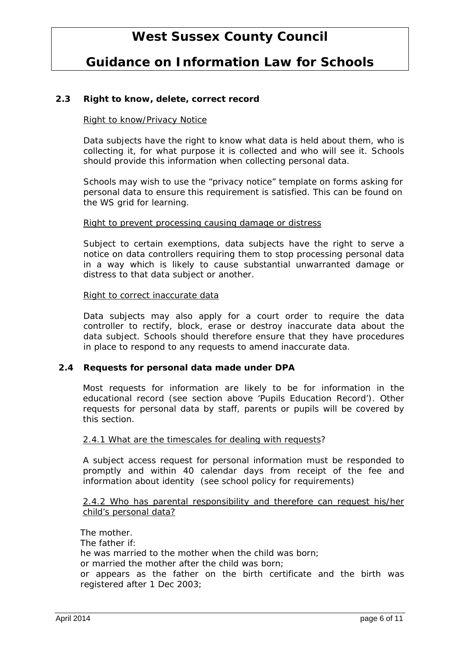## **Guidance on Information Law for Schools**

#### **2.3 Right to know, delete, correct record**

#### Right to know/Privacy Notice

Data subjects have the right to know what data is held about them, who is collecting it, for what purpose it is collected and who will see it. Schools should provide this information when collecting personal data.

Schools may wish to use the "privacy notice" template on forms asking for personal data to ensure this requirement is satisfied. This can be found on the WS grid for learning.

#### Right to prevent processing causing damage or distress

Subject to certain exemptions, data subjects have the right to serve a notice on data controllers requiring them to stop processing personal data in a way which is likely to cause substantial unwarranted damage or distress to that data subject or another.

#### Right to correct inaccurate data

Data subjects may also apply for a court order to require the data controller to rectify, block, erase or destroy inaccurate data about the data subject. Schools should therefore ensure that they have procedures in place to respond to any requests to amend inaccurate data.

#### **2.4 Requests for personal data made under DPA**

Most requests for information are likely to be for information in the educational record (see section above 'Pupils Education Record'). Other requests for personal data by staff, parents or pupils will be covered by this section.

#### 2.4.1 What are the timescales for dealing with requests?

A subject access request for personal information must be responded to promptly and within 40 calendar days from receipt of the fee and information about identity (see school policy for requirements)

#### 2.4.2 Who has parental responsibility and therefore can request his/her child's personal data?

The mother. The father if: he was married to the mother when the child was born; or married the mother after the child was born; or appears as the father on the birth certificate and the birth was registered after 1 Dec 2003;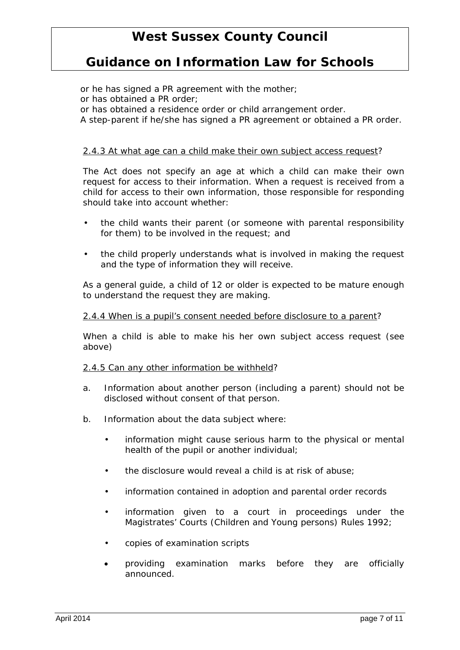### **Guidance on Information Law for Schools**

or he has signed a PR agreement with the mother; or has obtained a PR order; or has obtained a residence order or child arrangement order. A step-parent if he/she has signed a PR agreement or obtained a PR order.

#### 2.4.3 At what age can a child make their own subject access request?

The Act does not specify an age at which a child can make their own request for access to their information. When a request is received from a child for access to their own information, those responsible for responding should take into account whether:

- the child wants their parent (or someone with parental responsibility for them) to be involved in the request; and
- the child properly understands what is involved in making the request and the type of information they will receive.

As a general guide, a child of 12 or older is expected to be mature enough to understand the request they are making.

#### 2.4.4 When is a pupil's consent needed before disclosure to a parent?

When a child is able to make his her own subject access request (see above)

#### 2.4.5 Can any other information be withheld?

- a. Information about another person (including a parent) should not be disclosed without consent of that person.
- b. Information about the data subject where:
	- information might cause serious harm to the physical or mental health of the pupil or another individual;
	- the disclosure would reveal a child is at risk of abuse;
	- information contained in adoption and parental order records
	- information given to a court in proceedings under the Magistrates' Courts (Children and Young persons) Rules 1992;
	- copies of examination scripts
	- providing examination marks before they are officially announced.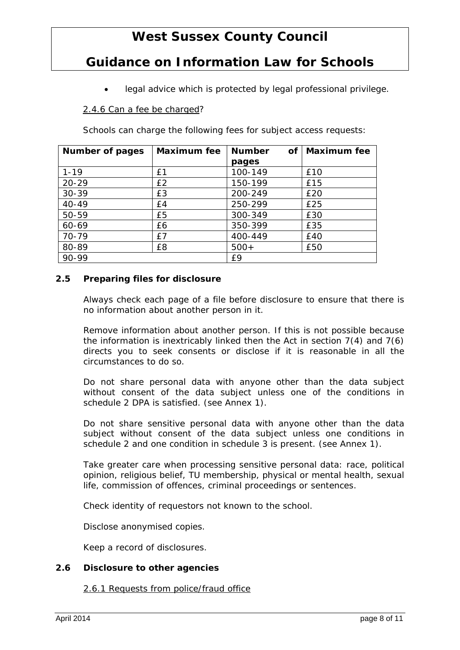## **Guidance on Information Law for Schools**

legal advice which is protected by legal professional privilege.

#### 2.4.6 Can a fee be charged?

Schools can charge the following fees for subject access requests:

| Number of pages | <b>Maximum</b> fee | <b>Number</b><br>of <sub>1</sub> | <b>Maximum</b> fee |
|-----------------|--------------------|----------------------------------|--------------------|
|                 |                    | pages                            |                    |
| $1 - 19$        | £1                 | 100-149                          | £10                |
| $20 - 29$       | E2                 | 150-199                          | £15                |
| $30 - 39$       | £3                 | 200-249                          | £20                |
| $40 - 49$       | E4                 | 250-299                          | £25                |
| 50-59           | £5                 | 300-349                          | £30                |
| 60-69           | £6                 | 350-399                          | £35                |
| 70-79           | £7                 | 400-449                          | £40                |
| 80-89           | £8                 | $500+$                           | £50                |
| 90-99           |                    | £9                               |                    |

#### **2.5 Preparing files for disclosure**

Always check each page of a file before disclosure to ensure that there is no information about another person in it.

Remove information about another person. If this is not possible because the information is inextricably linked then the Act in section 7(4) and 7(6) directs you to seek consents or disclose if it is reasonable in all the circumstances to do so.

Do not share personal data with anyone other than the data subject without consent of the data subject unless one of the conditions in schedule 2 DPA is satisfied. (see Annex 1).

Do not share sensitive personal data with anyone other than the data subject without consent of the data subject unless one conditions in schedule 2 and one condition in schedule 3 is present. (see Annex 1).

Take greater care when processing sensitive personal data: race, political opinion, religious belief, TU membership, physical or mental health, sexual life, commission of offences, criminal proceedings or sentences.

Check identity of requestors not known to the school.

Disclose anonymised copies.

Keep a record of disclosures.

#### **2.6 Disclosure to other agencies**

2.6.1 Requests from police/fraud office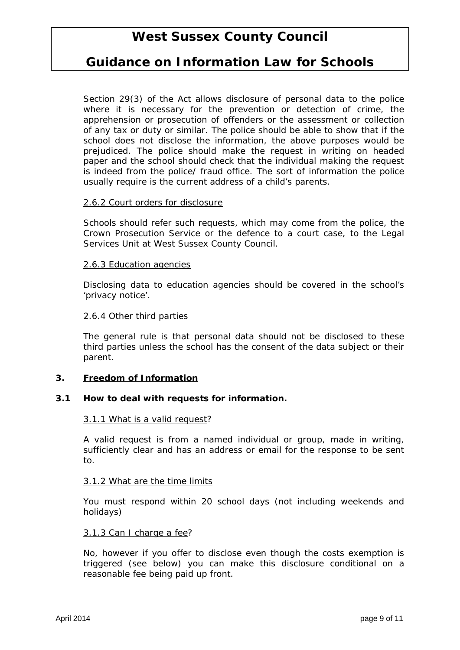### **Guidance on Information Law for Schools**

Section 29(3) of the Act allows disclosure of personal data to the police where it is necessary for the prevention or detection of crime, the apprehension or prosecution of offenders or the assessment or collection of any tax or duty or similar. The police should be able to show that if the school does not disclose the information, the above purposes would be prejudiced. The police should make the request in writing on headed paper and the school should check that the individual making the request is indeed from the police/ fraud office. The sort of information the police usually require is the current address of a child's parents.

#### 2.6.2 Court orders for disclosure

Schools should refer such requests, which may come from the police, the Crown Prosecution Service or the defence to a court case, to the Legal Services Unit at West Sussex County Council.

#### 2.6.3 Education agencies

Disclosing data to education agencies should be covered in the school's 'privacy notice'.

#### 2.6.4 Other third parties

The general rule is that personal data should not be disclosed to these third parties unless the school has the consent of the data subject or their parent.

#### **3. Freedom of Information**

#### **3.1 How to deal with requests for information.**

#### 3.1.1 What is a valid request?

A valid request is from a named individual or group, made in writing, sufficiently clear and has an address or email for the response to be sent to.

#### 3.1.2 What are the time limits

You must respond within 20 school days (not including weekends and holidays)

#### 3.1.3 Can I charge a fee?

No, however if you offer to disclose even though the costs exemption is triggered (see below) you can make this disclosure conditional on a reasonable fee being paid up front.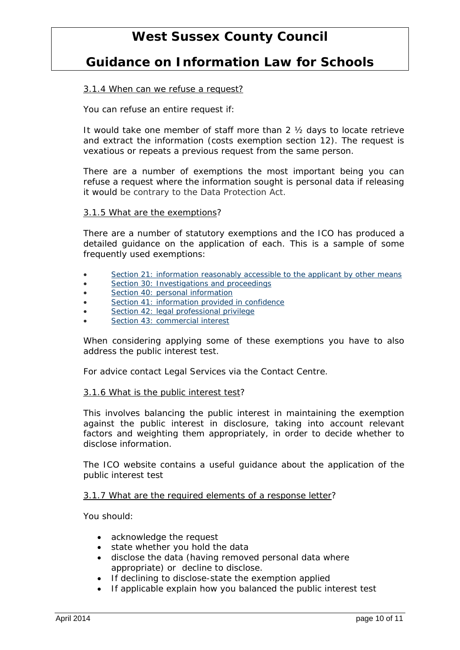### **Guidance on Information Law for Schools**

#### 3.1.4 When can we refuse a request?

You can refuse an entire request if:

It would take one member of staff more than 2 ½ days to locate retrieve and extract the information (costs exemption section 12). The request is vexatious or repeats a previous request from the same person.

There are a number of exemptions the most important being you can refuse a request where the information sought is personal data if releasing it would be contrary to the Data Protection Act.

#### 3.1.5 What are the exemptions?

There are a number of statutory exemptions and the ICO has produced a detailed guidance on the application of each. This is a sample of some frequently used exemptions:

- [Section 21: information reasonably accessible to the applicant by other means](http://ico.org.uk/for_organisations/guidance_index/~/media/documents/library/Freedom_of_Information/Detailed_specialist_guides/information-reasonably-accessible-to-the-applicant-by-other-means-sec21.pdf)
- [Section 30: Investigations](http://ico.org.uk/for_organisations/guidance_index/~/media/documents/library/Freedom_of_Information/Detailed_specialist_guides/investigations-and-proceedings-foi-section-30.ashx) and proceedings
- [Section 40: personal information](http://ico.org.uk/for_organisations/guidance_index/~/media/documents/library/Freedom_of_Information/Detailed_specialist_guides/personal-information-section-40-and-regulation-13-foia-and-eir-guidance.pdf)
- [Section 41: information provided in confidence](http://ico.org.uk/for_organisations/guidance_index/~/media/documents/library/Freedom_of_Information/Detailed_specialist_guides/CONFIDENTIALINFORMATION_V4.ashx)
- [Section 42: legal professional privilege](http://ico.org.uk/for_organisations/guidance_index/~/media/documents/library/Freedom_of_Information/Detailed_specialist_guides/legal_professional_privilege_exemption_s42.pdf)
- [Section 43: commercial interest](http://ico.org.uk/for_organisations/guidance_index/~/media/documents/library/Freedom_of_Information/Detailed_specialist_guides/AWARENESS_GUIDANCE_5_V3_07_03_08.ashx)

When considering applying some of these exemptions you have to also address the public interest test.

For advice contact Legal Services via the Contact Centre.

#### 3.1.6 What is the public interest test?

This involves balancing the public interest in maintaining the exemption against the public interest in disclosure, taking into account relevant factors and weighting them appropriately, in order to decide whether to disclose information.

The ICO website contains a useful guidance about the application of the public interest test

#### 3.1.7 What are the required elements of a response letter?

You should:

- acknowledge the request
- state whether you hold the data
- disclose the data (having removed personal data where appropriate) or decline to disclose.
- If declining to disclose-state the exemption applied
- If applicable explain how you balanced the public interest test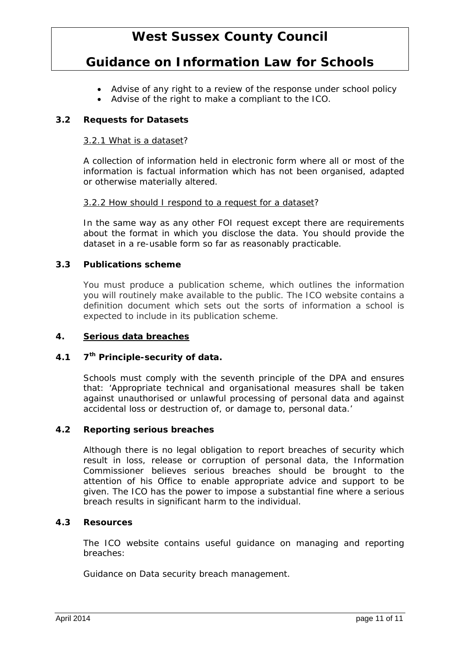### **Guidance on Information Law for Schools**

- Advise of any right to a review of the response under school policy
- Advise of the right to make a compliant to the ICO.

#### **3.2 Requests for Datasets**

#### 3.2.1 What is a dataset?

A collection of information held in electronic form where all or most of the information is factual information which has not been organised, adapted or otherwise materially altered.

#### 3.2.2 How should I respond to a request for a dataset?

In the same way as any other FOI request except there are requirements about the format in which you disclose the data. You should provide the dataset in a re-usable form so far as reasonably practicable.

#### **3.3 Publications scheme**

You must produce a publication scheme, which outlines the information you will routinely make available to the public. The ICO website contains a definition document which sets out the sorts of information a school is expected to include in its publication scheme.

#### **4. Serious data breaches**

#### **4.1 7th Principle-security of data.**

Schools must comply with the seventh principle of the DPA and ensures that: 'Appropriate technical and organisational measures shall be taken against unauthorised or unlawful processing of personal data and against accidental loss or destruction of, or damage to, personal data.'

#### **4.2 Reporting serious breaches**

Although there is no legal obligation to report breaches of security which result in loss, release or corruption of personal data, the Information Commissioner believes serious breaches should be brought to the attention of his Office to enable appropriate advice and support to be given. The ICO has the power to impose a substantial fine where a serious breach results in significant harm to the individual.

#### **4.3 Resources**

The ICO website contains useful guidance on managing and reporting breaches:

Guidance on Data security breach management.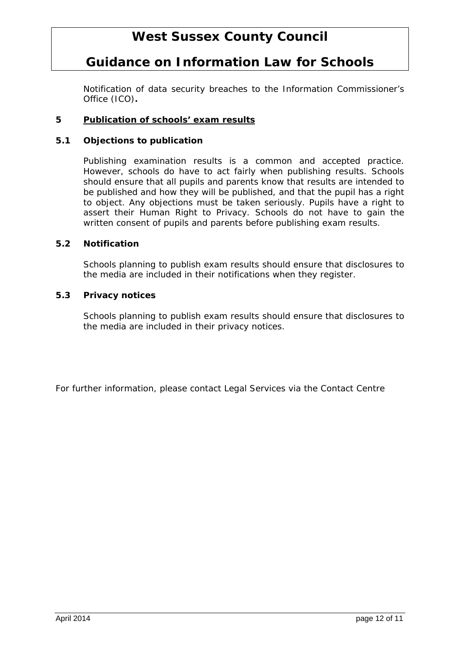### **Guidance on Information Law for Schools**

Notification of data security breaches to the Information Commissioner's Office (ICO)**.**

#### **5 Publication of schools' exam results**

#### **5.1 Objections to publication**

Publishing examination results is a common and accepted practice. However, schools do have to act fairly when publishing results. Schools should ensure that all pupils and parents know that results are intended to be published and how they will be published, and that the pupil has a right to object. Any objections must be taken seriously. Pupils have a right to assert their Human Right to Privacy. Schools do not have to gain the written consent of pupils and parents before publishing exam results.

#### **5.2 Notification**

Schools planning to publish exam results should ensure that disclosures to the media are included in their notifications when they register.

#### **5.3 Privacy notices**

Schools planning to publish exam results should ensure that disclosures to the media are included in their privacy notices.

For further information, please contact Legal Services via the Contact Centre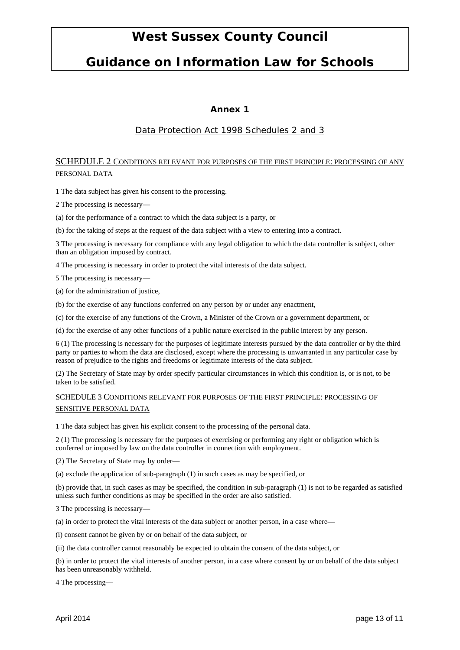## **Guidance on Information Law for Schools**

#### **Annex 1**

#### Data Protection Act 1998 Schedules 2 and 3

#### SCHEDULE 2 CONDITIONS RELEVANT FOR PURPOSES OF THE FIRST PRINCIPLE: PROCESSING OF ANY PERSONAL DATA

1 The data subject has given his consent to the processing.

2 The processing is necessary—

(a) for the performance of a contract to which the data subject is a party, or

(b) for the taking of steps at the request of the data subject with a view to entering into a contract.

3 The processing is necessary for compliance with any legal obligation to which the data controller is subject, other than an obligation imposed by contract.

4 The processing is necessary in order to protect the vital interests of the data subject.

5 The processing is necessary—

(a) for the administration of justice,

(b) for the exercise of any functions conferred on any person by or under any enactment,

(c) for the exercise of any functions of the Crown, a Minister of the Crown or a government department, or

(d) for the exercise of any other functions of a public nature exercised in the public interest by any person.

6 (1) The processing is necessary for the purposes of legitimate interests pursued by the data controller or by the third party or parties to whom the data are disclosed, except where the processing is unwarranted in any particular case by reason of prejudice to the rights and freedoms or legitimate interests of the data subject.

(2) The Secretary of State may by order specify particular circumstances in which this condition is, or is not, to be taken to be satisfied.

#### SCHEDULE 3 CONDITIONS RELEVANT FOR PURPOSES OF THE FIRST PRINCIPLE: PROCESSING OF SENSITIVE PERSONAL DATA

1 The data subject has given his explicit consent to the processing of the personal data.

2 (1) The processing is necessary for the purposes of exercising or performing any right or obligation which is conferred or imposed by law on the data controller in connection with employment.

(2) The Secretary of State may by order—

(a) exclude the application of sub-paragraph (1) in such cases as may be specified, or

(b) provide that, in such cases as may be specified, the condition in sub-paragraph (1) is not to be regarded as satisfied unless such further conditions as may be specified in the order are also satisfied.

3 The processing is necessary—

(a) in order to protect the vital interests of the data subject or another person, in a case where—

(i) consent cannot be given by or on behalf of the data subject, or

(ii) the data controller cannot reasonably be expected to obtain the consent of the data subject, or

(b) in order to protect the vital interests of another person, in a case where consent by or on behalf of the data subject has been unreasonably withheld.

4 The processing—